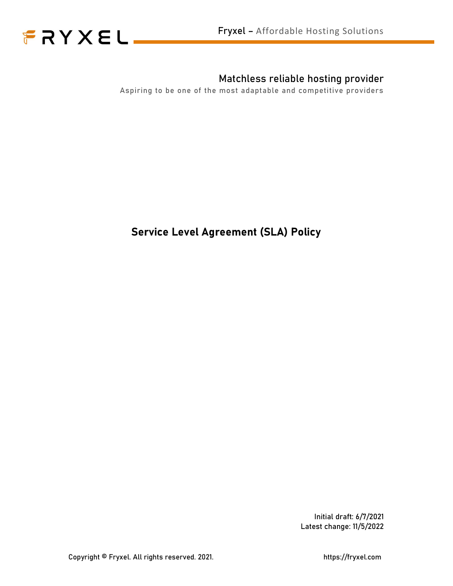

## Matchless reliable hosting provider

Aspiring to be one of the most adaptable and competitive providers

## Service Level Agreement (SLA) Policy

Initial draft: 6/7/2021 Latest change: 11/5/2022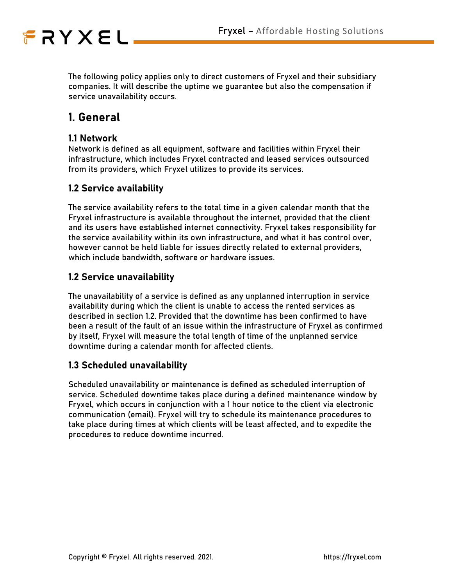

The following policy applies only to direct customers of Fryxel and their subsidiary companies. It will describe the uptime we guarantee but also the compensation if service unavailability occurs.

## 1. General

#### 1.1 Network

Network is defined as all equipment, software and facilities within Fryxel their infrastructure, which includes Fryxel contracted and leased services outsourced from its providers, which Fryxel utilizes to provide its services.

#### 1.2 Service availability

The service availability refers to the total time in a given calendar month that the Fryxel infrastructure is available throughout the internet, provided that the client and its users have established internet connectivity. Fryxel takes responsibility for the service availability within its own infrastructure, and what it has control over, however cannot be held liable for issues directly related to external providers, which include bandwidth, software or hardware issues.

#### 1.2 Service unavailability

The unavailability of a service is defined as any unplanned interruption in service availability during which the client is unable to access the rented services as described in section 1.2. Provided that the downtime has been confirmed to have been a result of the fault of an issue within the infrastructure of Fryxel as confirmed by itself, Fryxel will measure the total length of time of the unplanned service downtime during a calendar month for affected clients.

#### 1.3 Scheduled unavailability

Scheduled unavailability or maintenance is defined as scheduled interruption of service. Scheduled downtime takes place during a defined maintenance window by Fryxel, which occurs in conjunction with a 1 hour notice to the client via electronic communication (email). Fryxel will try to schedule its maintenance procedures to take place during times at which clients will be least affected, and to expedite the procedures to reduce downtime incurred.